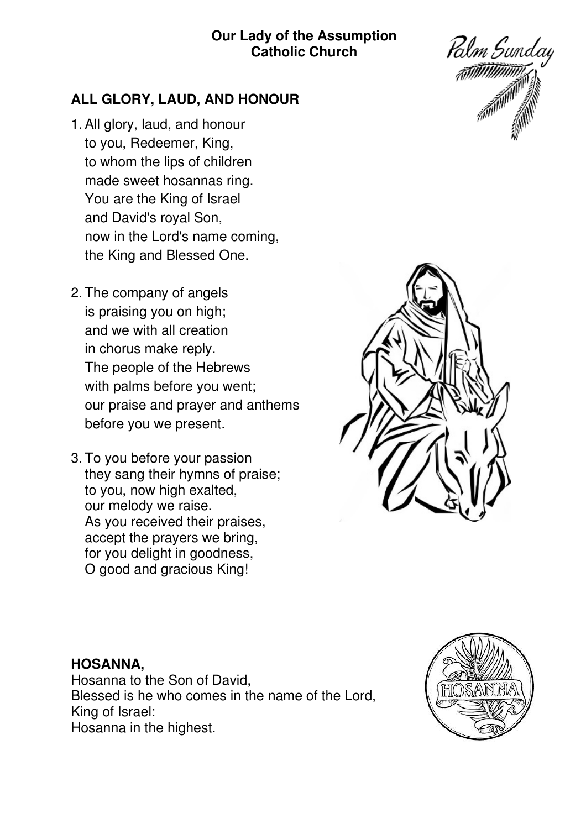#### **Our Lady of the Assumption Catholic Church**

## **ALL GLORY, LAUD, AND HONOUR**

- 1. All glory, laud, and honour to you, Redeemer, King, to whom the lips of children made sweet hosannas ring. You are the King of Israel and David's royal Son, now in the Lord's name coming, the King and Blessed One.
- 2. The company of angels is praising you on high; and we with all creation in chorus make reply. The people of the Hebrews with palms before you went; our praise and prayer and anthems before you we present.
- 3. To you before your passion they sang their hymns of praise; to you, now high exalted, our melody we raise. As you received their praises, accept the prayers we bring, for you delight in goodness, O good and gracious King!





#### **HOSANNA,**

Hosanna to the Son of David, Blessed is he who comes in the name of the Lord, King of Israel: Hosanna in the highest.

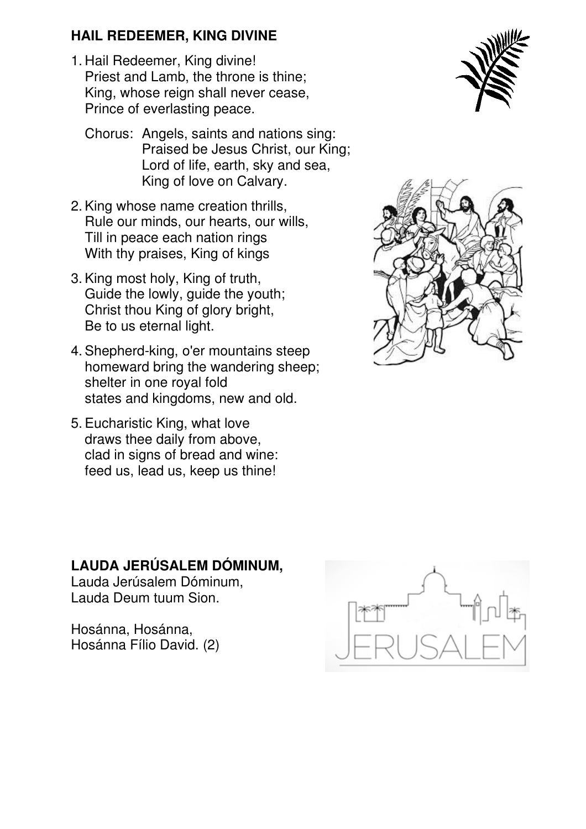## **HAIL REDEEMER, KING DIVINE**

- 1. Hail Redeemer, King divine! Priest and Lamb, the throne is thine; King, whose reign shall never cease, Prince of everlasting peace.
	- Chorus: Angels, saints and nations sing: Praised be Jesus Christ, our King; Lord of life, earth, sky and sea, King of love on Calvary.
- 2. King whose name creation thrills, Rule our minds, our hearts, our wills, Till in peace each nation rings With thy praises, King of kings
- 3. King most holy, King of truth, Guide the lowly, guide the youth; Christ thou King of glory bright, Be to us eternal light.
- 4. Shepherd-king, o'er mountains steep homeward bring the wandering sheep; shelter in one royal fold states and kingdoms, new and old.
- 5. Eucharistic King, what love draws thee daily from above, clad in signs of bread and wine: feed us, lead us, keep us thine!





# **LAUDA JERÚSALEM DÓMINUM,**

Lauda Jerúsalem Dóminum, Lauda Deum tuum Sion.

Hosánna, Hosánna, Hosánna Fílio David. (2)

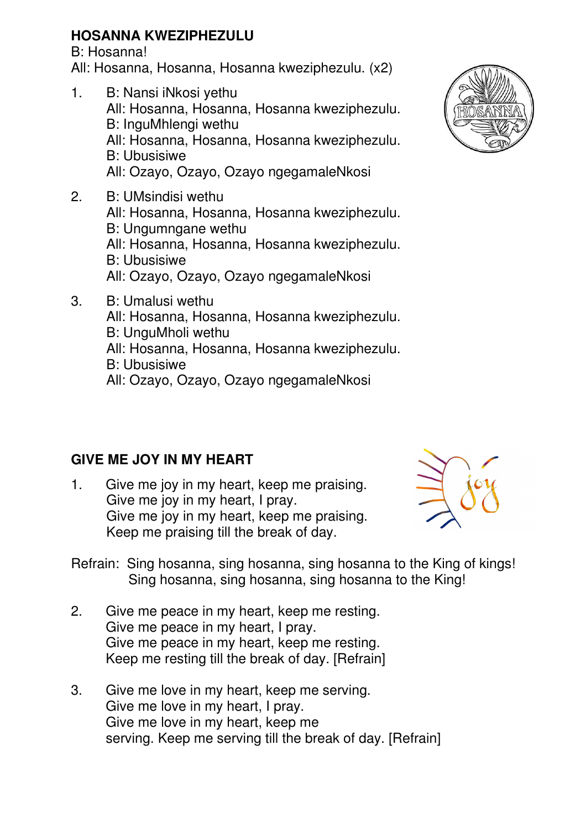## **HOSANNA KWEZIPHEZULU**

B: Hosanna!

All: Hosanna, Hosanna, Hosanna kweziphezulu. (x2)

- 1. B: Nansi iNkosi yethu All: Hosanna, Hosanna, Hosanna kweziphezulu. B: InguMhlengi wethu All: Hosanna, Hosanna, Hosanna kweziphezulu. B: Ubusisiwe All: Ozayo, Ozayo, Ozayo ngegamaleNkosi
- 2. B: UMsindisi wethu All: Hosanna, Hosanna, Hosanna kweziphezulu. B: Ungumngane wethu All: Hosanna, Hosanna, Hosanna kweziphezulu. B: Ubusisiwe All: Ozayo, Ozayo, Ozayo ngegamaleNkosi
- 3. B: Umalusi wethu All: Hosanna, Hosanna, Hosanna kweziphezulu. B: UnguMholi wethu All: Hosanna, Hosanna, Hosanna kweziphezulu. B: Ubusisiwe All: Ozayo, Ozayo, Ozayo ngegamaleNkosi

# **GIVE ME JOY IN MY HEART**

1. Give me joy in my heart, keep me praising. Give me joy in my heart, I pray. Give me joy in my heart, keep me praising. Keep me praising till the break of day.



Refrain: Sing hosanna, sing hosanna, sing hosanna to the King of kings! Sing hosanna, sing hosanna, sing hosanna to the King!

- 2. Give me peace in my heart, keep me resting. Give me peace in my heart, I pray. Give me peace in my heart, keep me resting. Keep me resting till the break of day. [Refrain]
- 3. Give me love in my heart, keep me serving. Give me love in my heart, I pray. Give me love in my heart, keep me serving. Keep me serving till the break of day. [Refrain]